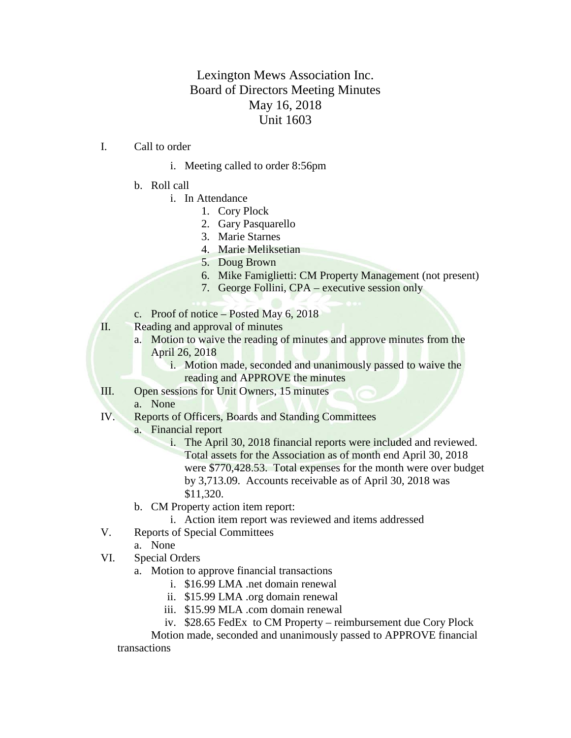## Lexington Mews Association Inc. Board of Directors Meeting Minutes May 16, 2018 Unit 1603

- I. Call to order
	- i. Meeting called to order 8:56pm
	- b. Roll call
		- i. In Attendance
			- 1. Cory Plock
				- 2. Gary Pasquarello
				- 3. Marie Starnes
				- 4. Marie Meliksetian
			- 5. Doug Brown
			- 6. Mike Famiglietti: CM Property Management (not present)
			- 7. George Follini, CPA executive session only
	- c. Proof of notice Posted May 6, 2018
- II. Reading and approval of minutes
	- a. Motion to waive the reading of minutes and approve minutes from the April 26, 2018
		- i. Motion made, seconded and unanimously passed to waive the reading and APPROVE the minutes
- III. Open sessions for Unit Owners, 15 minutes
	- a. None
- IV. Reports of Officers, Boards and Standing Committees
	- a. Financial report
		- i. The April 30, 2018 financial reports were included and reviewed. Total assets for the Association as of month end April 30, 2018 were \$770,428.53. Total expenses for the month were over budget by 3,713.09. Accounts receivable as of April 30, 2018 was \$11,320.
	- b. CM Property action item report:
		- i. Action item report was reviewed and items addressed
- V. Reports of Special Committees
	- a. None
- VI. Special Orders
	- a. Motion to approve financial transactions
		- i. \$16.99 LMA .net domain renewal
		- ii. \$15.99 LMA .org domain renewal
		- iii. \$15.99 MLA .com domain renewal
		- iv. \$28.65 FedEx to CM Property reimbursement due Cory Plock

Motion made, seconded and unanimously passed to APPROVE financial

transactions